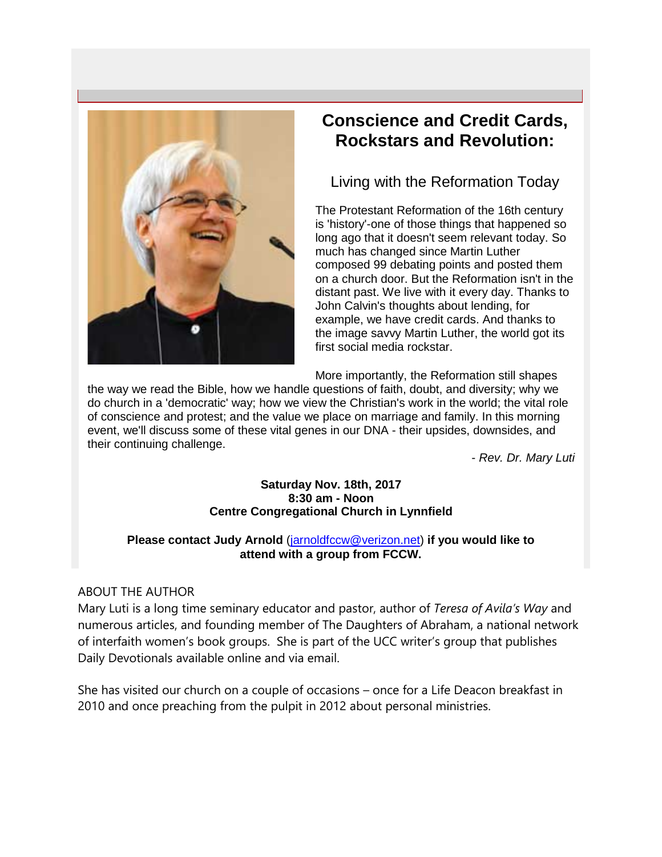

# **Conscience and Credit Cards, Rockstars and Revolution:**

Living with the Reformation Today

The Protestant Reformation of the 16th century is 'history'-one of those things that happened so long ago that it doesn't seem relevant today. So much has changed since Martin Luther composed 99 debating points and posted them on a church door. But the Reformation isn't in the distant past. We live with it every day. Thanks to John Calvin's thoughts about lending, for example, we have credit cards. And thanks to the image savvy Martin Luther, the world got its first social media rockstar.

More importantly, the Reformation still shapes

the way we read the Bible, how we handle questions of faith, doubt, and diversity; why we do church in a 'democratic' way; how we view the Christian's work in the world; the vital role of conscience and protest; and the value we place on marriage and family. In this morning event, we'll discuss some of these vital genes in our DNA - their upsides, downsides, and their continuing challenge.

- *Rev. Dr. Mary Luti*

#### **Saturday Nov. 18th, 2017 8:30 am - Noon Centre Congregational Church in Lynnfield**

#### **Please contact Judy Arnold** [\(jarnoldfccw@verizon.net\)](mailto:jarnoldfccw@verizon.net) **if you would like to attend with a group from FCCW.**

## ABOUT THE AUTHOR

Mary Luti is a long time seminary educator and pastor, author of *Teresa of Avila's Way* and numerous articles, and founding member of The Daughters of Abraham, a national network of interfaith women's book groups. She is part of the UCC writer's group that publishes Daily Devotionals available online and via email.

She has visited our church on a couple of occasions – once for a Life Deacon breakfast in 2010 and once preaching from the pulpit in 2012 about personal ministries.